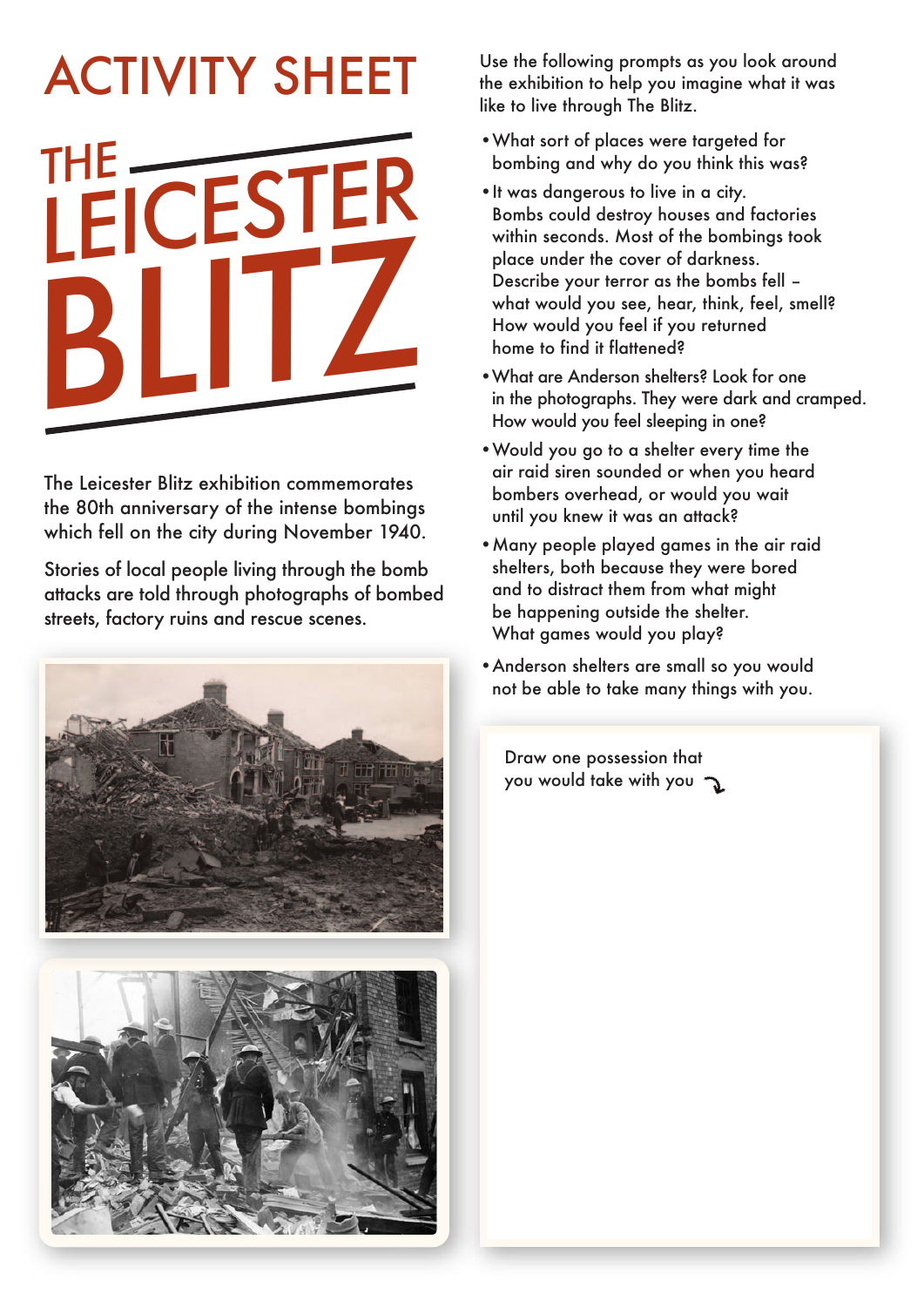## *THE LEICESTER BLITZ* ACTIVITY SHEET

The Leicester Blitz exhibition commemorates the 80th anniversary of the intense bombings which fell on the city during November 1940.

Stories of local people living through the bomb attacks are told through photographs of bombed streets, factory ruins and rescue scenes.





Use the following prompts as you look around the exhibition to help you imagine what it was like to live through The Blitz.

- •What sort of places were targeted for bombing and why do you think this was?
- •It was dangerous to live in a city. Bombs could destroy houses and factories within seconds. Most of the bombings took place under the cover of darkness. Describe your terror as the bombs fell – what would you see, hear, think, feel, smell? How would you feel if you returned home to find it flattened?
- •What are Anderson shelters? Look for one in the photographs. They were dark and cramped. How would you feel sleeping in one?
- •Would you go to a shelter every time the air raid siren sounded or when you heard bombers overhead, or would you wait until you knew it was an attack?
- •Many people played games in the air raid shelters, both because they were bored and to distract them from what might be happening outside the shelter. What games would you play?
- •Anderson shelters are small so you would not be able to take many things with you.

Draw one possession that you would take with you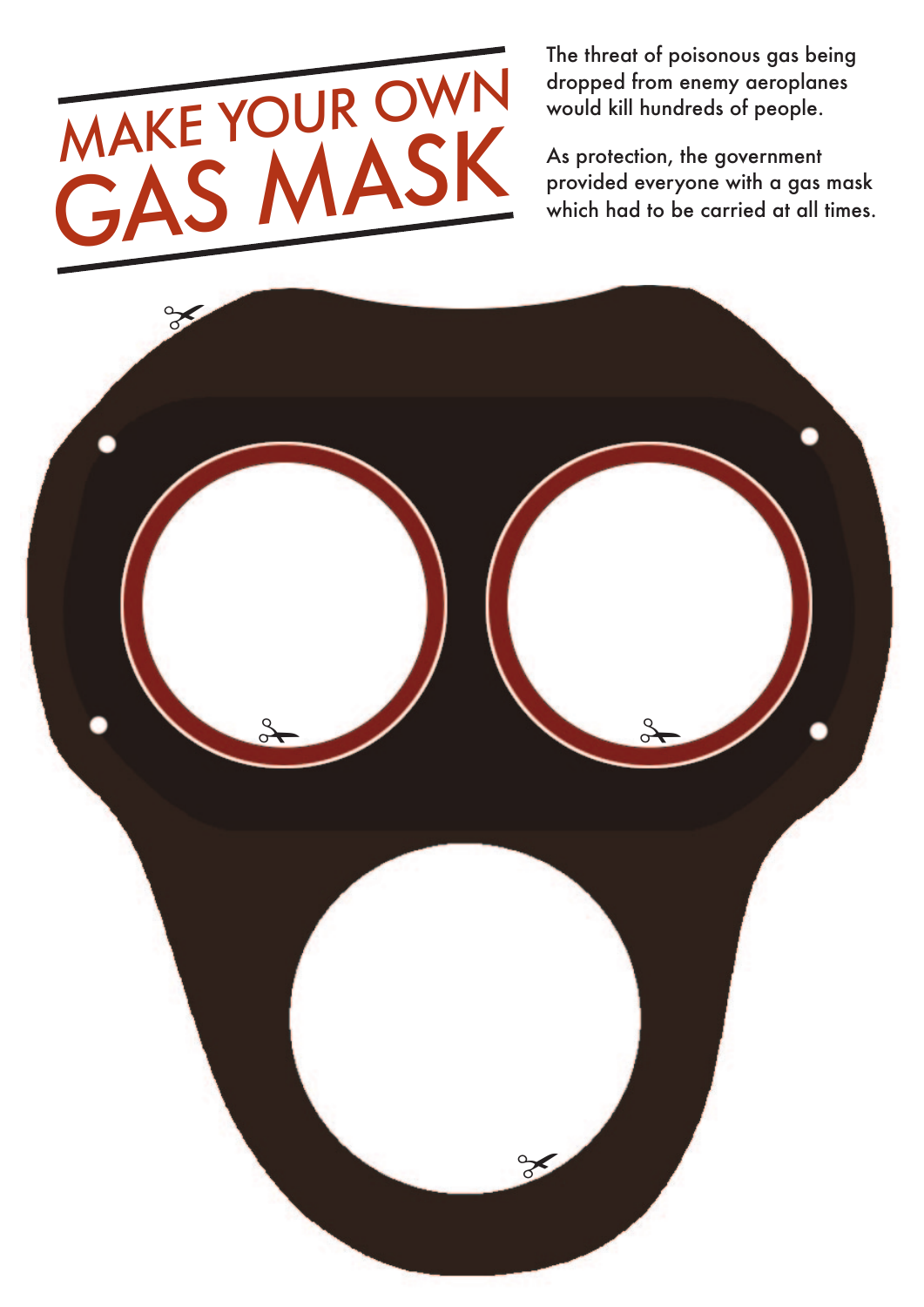

The threat of poisonous gas being dropped from enemy aeroplanes would kill hundreds of people.

As protection, the government provided everyone with a gas mask which had to be carried at all times.